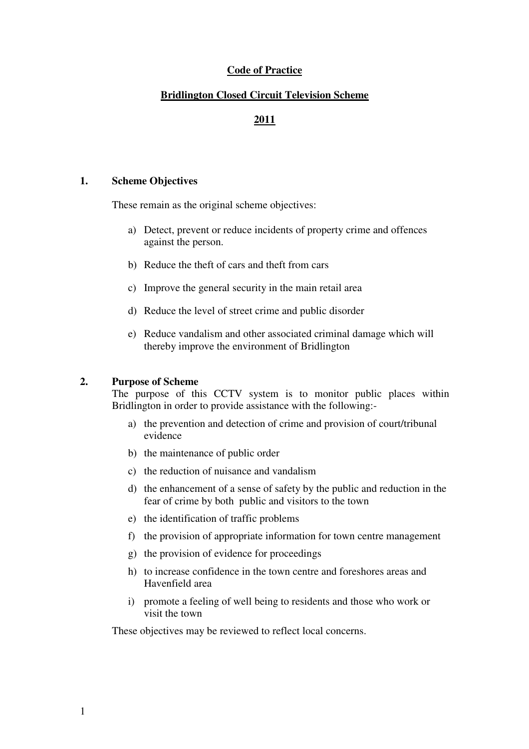# **Code of Practice**

## **Bridlington Closed Circuit Television Scheme**

# **2011**

## **1. Scheme Objectives**

These remain as the original scheme objectives:

- a) Detect, prevent or reduce incidents of property crime and offences against the person.
- b) Reduce the theft of cars and theft from cars
- c) Improve the general security in the main retail area
- d) Reduce the level of street crime and public disorder
- e) Reduce vandalism and other associated criminal damage which will thereby improve the environment of Bridlington

#### **2. Purpose of Scheme**

The purpose of this CCTV system is to monitor public places within Bridlington in order to provide assistance with the following:-

- a) the prevention and detection of crime and provision of court/tribunal evidence
- b) the maintenance of public order
- c) the reduction of nuisance and vandalism
- d) the enhancement of a sense of safety by the public and reduction in the fear of crime by both public and visitors to the town
- e) the identification of traffic problems
- f) the provision of appropriate information for town centre management
- g) the provision of evidence for proceedings
- h) to increase confidence in the town centre and foreshores areas and Havenfield area
- i) promote a feeling of well being to residents and those who work or visit the town

These objectives may be reviewed to reflect local concerns.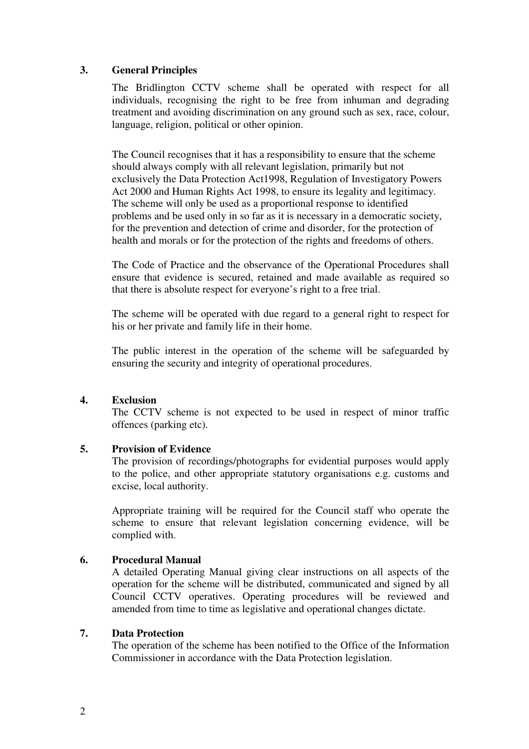# **3. General Principles**

The Bridlington CCTV scheme shall be operated with respect for all individuals, recognising the right to be free from inhuman and degrading treatment and avoiding discrimination on any ground such as sex, race, colour, language, religion, political or other opinion.

The Council recognises that it has a responsibility to ensure that the scheme should always comply with all relevant legislation, primarily but not exclusively the Data Protection Act1998, Regulation of Investigatory Powers Act 2000 and Human Rights Act 1998, to ensure its legality and legitimacy. The scheme will only be used as a proportional response to identified problems and be used only in so far as it is necessary in a democratic society, for the prevention and detection of crime and disorder, for the protection of health and morals or for the protection of the rights and freedoms of others.

The Code of Practice and the observance of the Operational Procedures shall ensure that evidence is secured, retained and made available as required so that there is absolute respect for everyone's right to a free trial.

The scheme will be operated with due regard to a general right to respect for his or her private and family life in their home.

The public interest in the operation of the scheme will be safeguarded by ensuring the security and integrity of operational procedures.

# **4. Exclusion**

The CCTV scheme is not expected to be used in respect of minor traffic offences (parking etc).

# **5. Provision of Evidence**

The provision of recordings/photographs for evidential purposes would apply to the police, and other appropriate statutory organisations e.g. customs and excise, local authority.

Appropriate training will be required for the Council staff who operate the scheme to ensure that relevant legislation concerning evidence, will be complied with.

# **6. Procedural Manual**

A detailed Operating Manual giving clear instructions on all aspects of the operation for the scheme will be distributed, communicated and signed by all Council CCTV operatives. Operating procedures will be reviewed and amended from time to time as legislative and operational changes dictate.

# **7. Data Protection**

The operation of the scheme has been notified to the Office of the Information Commissioner in accordance with the Data Protection legislation.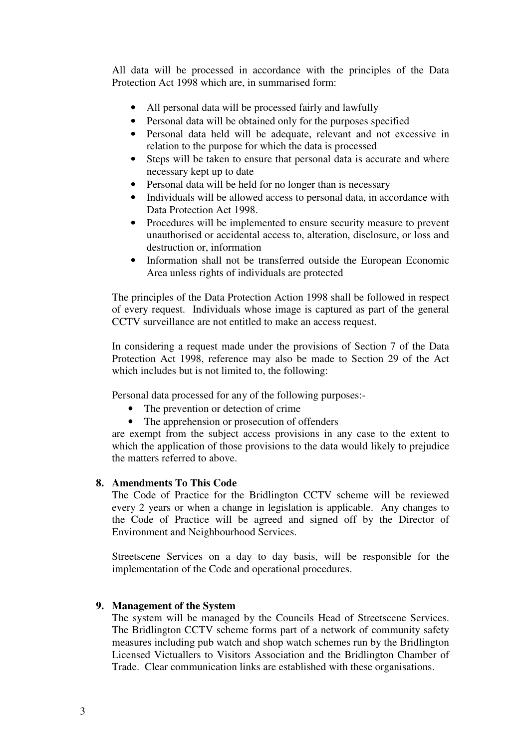All data will be processed in accordance with the principles of the Data Protection Act 1998 which are, in summarised form:

- All personal data will be processed fairly and lawfully
- Personal data will be obtained only for the purposes specified
- Personal data held will be adequate, relevant and not excessive in relation to the purpose for which the data is processed
- Steps will be taken to ensure that personal data is accurate and where necessary kept up to date
- Personal data will be held for no longer than is necessary
- Individuals will be allowed access to personal data, in accordance with Data Protection Act 1998.
- Procedures will be implemented to ensure security measure to prevent unauthorised or accidental access to, alteration, disclosure, or loss and destruction or, information
- Information shall not be transferred outside the European Economic Area unless rights of individuals are protected

The principles of the Data Protection Action 1998 shall be followed in respect of every request. Individuals whose image is captured as part of the general CCTV surveillance are not entitled to make an access request.

In considering a request made under the provisions of Section 7 of the Data Protection Act 1998, reference may also be made to Section 29 of the Act which includes but is not limited to, the following:

Personal data processed for any of the following purposes:-

- The prevention or detection of crime
- The apprehension or prosecution of offenders

are exempt from the subject access provisions in any case to the extent to which the application of those provisions to the data would likely to prejudice the matters referred to above.

# **8. Amendments To This Code**

The Code of Practice for the Bridlington CCTV scheme will be reviewed every 2 years or when a change in legislation is applicable. Any changes to the Code of Practice will be agreed and signed off by the Director of Environment and Neighbourhood Services.

Streetscene Services on a day to day basis, will be responsible for the implementation of the Code and operational procedures.

# **9. Management of the System**

The system will be managed by the Councils Head of Streetscene Services. The Bridlington CCTV scheme forms part of a network of community safety measures including pub watch and shop watch schemes run by the Bridlington Licensed Victuallers to Visitors Association and the Bridlington Chamber of Trade. Clear communication links are established with these organisations.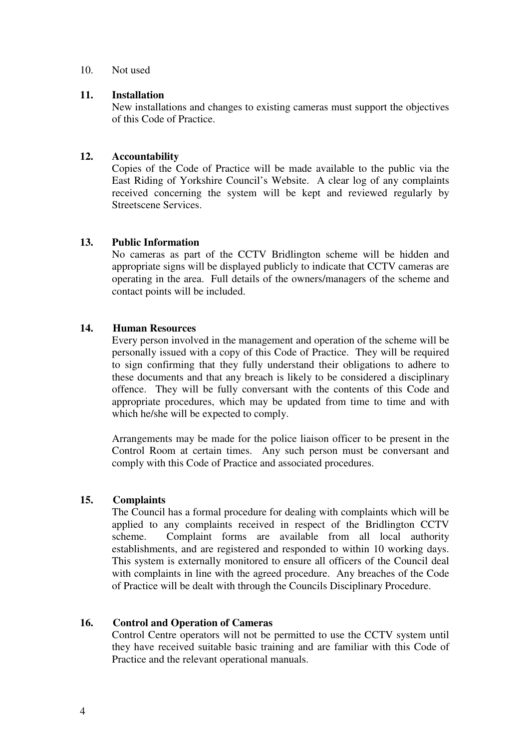#### 10. Not used

## **11. Installation**

New installations and changes to existing cameras must support the objectives of this Code of Practice.

# **12. Accountability**

Copies of the Code of Practice will be made available to the public via the East Riding of Yorkshire Council's Website. A clear log of any complaints received concerning the system will be kept and reviewed regularly by Streetscene Services.

# **13. Public Information**

No cameras as part of the CCTV Bridlington scheme will be hidden and appropriate signs will be displayed publicly to indicate that CCTV cameras are operating in the area. Full details of the owners/managers of the scheme and contact points will be included.

# **14. Human Resources**

Every person involved in the management and operation of the scheme will be personally issued with a copy of this Code of Practice. They will be required to sign confirming that they fully understand their obligations to adhere to these documents and that any breach is likely to be considered a disciplinary offence. They will be fully conversant with the contents of this Code and appropriate procedures, which may be updated from time to time and with which he/she will be expected to comply.

Arrangements may be made for the police liaison officer to be present in the Control Room at certain times. Any such person must be conversant and comply with this Code of Practice and associated procedures.

# **15. Complaints**

The Council has a formal procedure for dealing with complaints which will be applied to any complaints received in respect of the Bridlington CCTV scheme. Complaint forms are available from all local authority establishments, and are registered and responded to within 10 working days. This system is externally monitored to ensure all officers of the Council deal with complaints in line with the agreed procedure. Any breaches of the Code of Practice will be dealt with through the Councils Disciplinary Procedure.

# **16. Control and Operation of Cameras**

Control Centre operators will not be permitted to use the CCTV system until they have received suitable basic training and are familiar with this Code of Practice and the relevant operational manuals.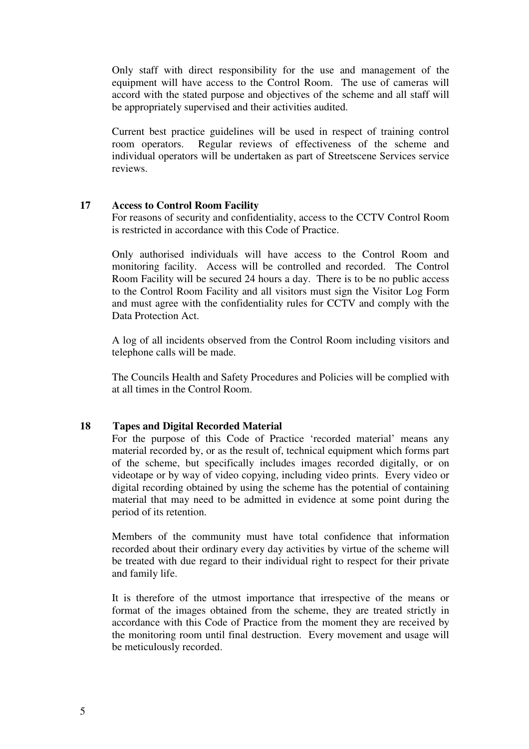Only staff with direct responsibility for the use and management of the equipment will have access to the Control Room. The use of cameras will accord with the stated purpose and objectives of the scheme and all staff will be appropriately supervised and their activities audited.

Current best practice guidelines will be used in respect of training control room operators. Regular reviews of effectiveness of the scheme and individual operators will be undertaken as part of Streetscene Services service reviews.

# **17 Access to Control Room Facility**

For reasons of security and confidentiality, access to the CCTV Control Room is restricted in accordance with this Code of Practice.

Only authorised individuals will have access to the Control Room and monitoring facility. Access will be controlled and recorded. The Control Room Facility will be secured 24 hours a day. There is to be no public access to the Control Room Facility and all visitors must sign the Visitor Log Form and must agree with the confidentiality rules for CCTV and comply with the Data Protection Act.

A log of all incidents observed from the Control Room including visitors and telephone calls will be made.

The Councils Health and Safety Procedures and Policies will be complied with at all times in the Control Room.

#### **18 Tapes and Digital Recorded Material**

For the purpose of this Code of Practice 'recorded material' means any material recorded by, or as the result of, technical equipment which forms part of the scheme, but specifically includes images recorded digitally, or on videotape or by way of video copying, including video prints. Every video or digital recording obtained by using the scheme has the potential of containing material that may need to be admitted in evidence at some point during the period of its retention.

Members of the community must have total confidence that information recorded about their ordinary every day activities by virtue of the scheme will be treated with due regard to their individual right to respect for their private and family life.

It is therefore of the utmost importance that irrespective of the means or format of the images obtained from the scheme, they are treated strictly in accordance with this Code of Practice from the moment they are received by the monitoring room until final destruction. Every movement and usage will be meticulously recorded.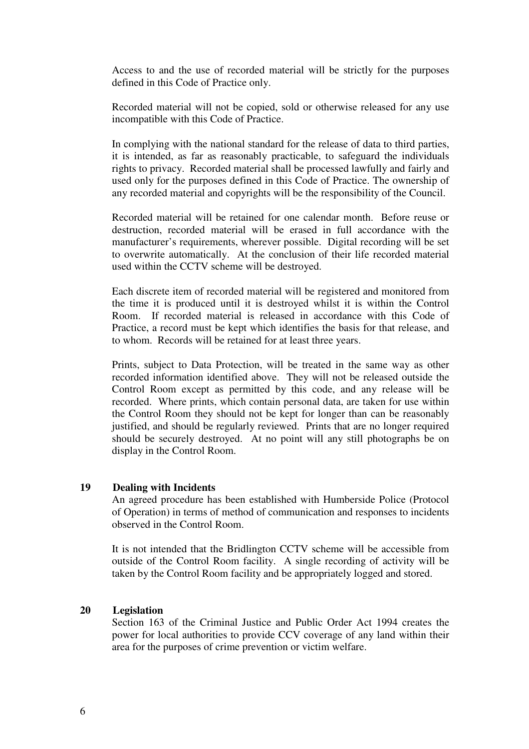Access to and the use of recorded material will be strictly for the purposes defined in this Code of Practice only.

Recorded material will not be copied, sold or otherwise released for any use incompatible with this Code of Practice.

In complying with the national standard for the release of data to third parties, it is intended, as far as reasonably practicable, to safeguard the individuals rights to privacy. Recorded material shall be processed lawfully and fairly and used only for the purposes defined in this Code of Practice. The ownership of any recorded material and copyrights will be the responsibility of the Council.

Recorded material will be retained for one calendar month. Before reuse or destruction, recorded material will be erased in full accordance with the manufacturer's requirements, wherever possible. Digital recording will be set to overwrite automatically. At the conclusion of their life recorded material used within the CCTV scheme will be destroyed.

Each discrete item of recorded material will be registered and monitored from the time it is produced until it is destroyed whilst it is within the Control Room. If recorded material is released in accordance with this Code of Practice, a record must be kept which identifies the basis for that release, and to whom. Records will be retained for at least three years.

Prints, subject to Data Protection, will be treated in the same way as other recorded information identified above. They will not be released outside the Control Room except as permitted by this code, and any release will be recorded. Where prints, which contain personal data, are taken for use within the Control Room they should not be kept for longer than can be reasonably justified, and should be regularly reviewed. Prints that are no longer required should be securely destroyed. At no point will any still photographs be on display in the Control Room.

## **19 Dealing with Incidents**

An agreed procedure has been established with Humberside Police (Protocol of Operation) in terms of method of communication and responses to incidents observed in the Control Room.

It is not intended that the Bridlington CCTV scheme will be accessible from outside of the Control Room facility. A single recording of activity will be taken by the Control Room facility and be appropriately logged and stored.

# **20 Legislation**

Section 163 of the Criminal Justice and Public Order Act 1994 creates the power for local authorities to provide CCV coverage of any land within their area for the purposes of crime prevention or victim welfare.